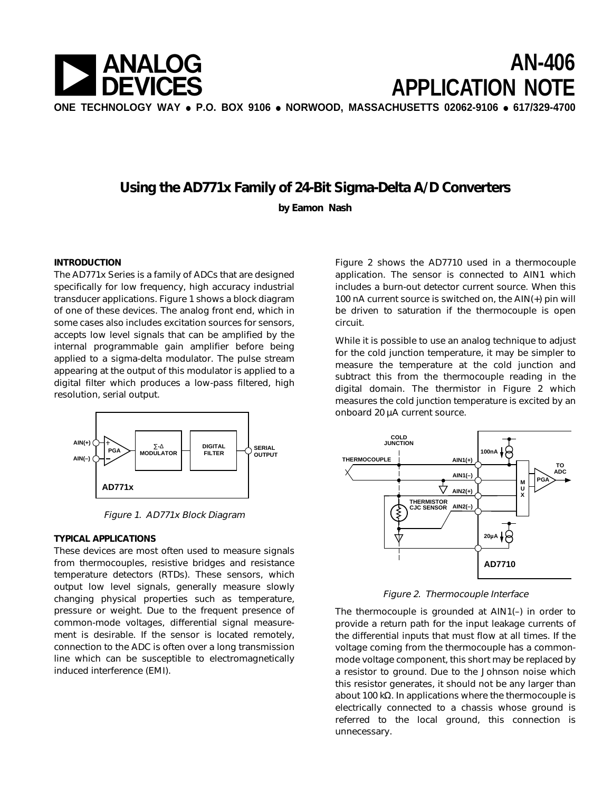

# **Using the AD771x Family of 24-Bit Sigma-Delta A/D Converters**

**by Eamon Nash**

### **INTRODUCTION**

The AD771x Series is a family of ADCs that are designed specifically for low frequency, high accuracy industrial transducer applications. Figure 1 shows a block diagram of one of these devices. The analog front end, which in some cases also includes excitation sources for sensors, accepts low level signals that can be amplified by the internal programmable gain amplifier before being applied to a sigma-delta modulator. The pulse stream appearing at the output of this modulator is applied to a digital filter which produces a low-pass filtered, high resolution, serial output.



Figure 1. AD771x Block Diagram

### **TYPICAL APPLICATIONS**

These devices are most often used to measure signals from thermocouples, resistive bridges and resistance temperature detectors (RTDs). These sensors, which output low level signals, generally measure slowly changing physical properties such as temperature, pressure or weight. Due to the frequent presence of common-mode voltages, differential signal measurement is desirable. If the sensor is located remotely, connection to the ADC is often over a long transmission line which can be susceptible to electromagnetically induced interference (EMI).

Figure 2 shows the AD7710 used in a thermocouple application. The sensor is connected to AIN1 which includes a burn-out detector current source. When this 100 nA current source is switched on, the AIN(+) pin will be driven to saturation if the thermocouple is open circuit.

While it is possible to use an analog technique to adjust for the cold junction temperature, it may be simpler to measure the temperature at the cold junction and subtract this from the thermocouple reading in the digital domain. The thermistor in Figure 2 which measures the cold junction temperature is excited by an onboard 20 µA current source.



Figure 2. Thermocouple Interface

The thermocouple is grounded at AIN1(–) in order to provide a return path for the input leakage currents of the differential inputs that must flow at all times. If the voltage coming from the thermocouple has a commonmode voltage component, this short may be replaced by a resistor to ground. Due to the Johnson noise which this resistor generates, it should not be any larger than about 100 kΩ. In applications where the thermocouple is electrically connected to a chassis whose ground is referred to the local ground, this connection is unnecessary.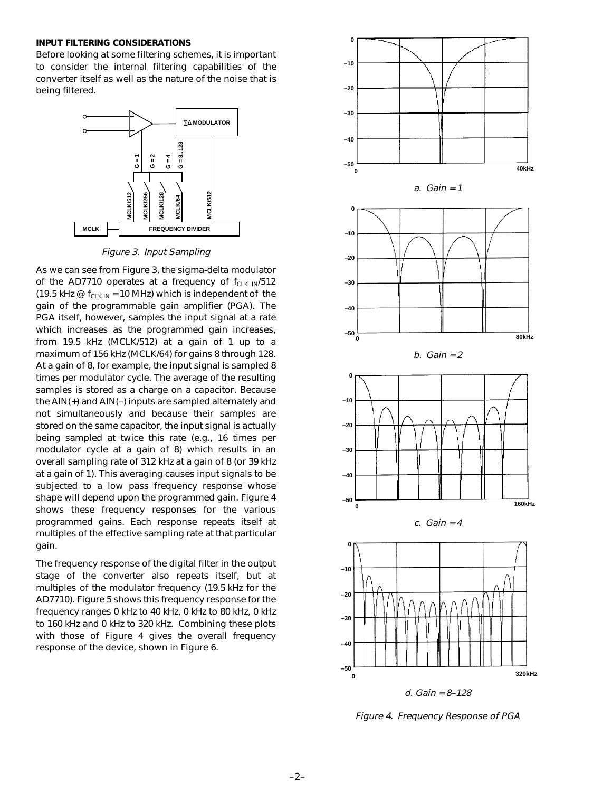#### **INPUT FILTERING CONSIDERATIONS**

Before looking at some filtering schemes, it is important to consider the internal filtering capabilities of the converter itself as well as the nature of the noise that is being filtered.



Figure 3. Input Sampling

As we can see from Figure 3, the sigma-delta modulator of the AD7710 operates at a frequency of  $f_{C-K~IN}/512$ (19.5 kHz  $\omega$  f<sub>CLK IN</sub> = 10 MHz) which is independent of the gain of the programmable gain amplifier (PGA). The PGA itself, however, samples the input signal at a rate which increases as the programmed gain increases, from 19.5 kHz (MCLK/512) at a gain of 1 up to a maximum of 156 kHz (MCLK/64) for gains 8 through 128. At a gain of 8, for example, the input signal is sampled 8 times per modulator cycle. The average of the resulting samples is stored as a charge on a capacitor. Because the AIN(+) and AIN(–) inputs are sampled alternately and not simultaneously and because their samples are stored on the same capacitor, the input signal is actually being sampled at twice this rate (e.g., 16 times per modulator cycle at a gain of 8) which results in an overall sampling rate of 312 kHz at a gain of 8 (or 39 kHz at a gain of 1). This averaging causes input signals to be subjected to a low pass frequency response whose shape will depend upon the programmed gain. Figure 4 shows these frequency responses for the various programmed gains. Each response repeats itself at multiples of the effective sampling rate at that particular gain.

The frequency response of the digital filter in the output stage of the converter also repeats itself, but at multiples of the modulator frequency (19.5 kHz for the AD7710). Figure 5 shows this frequency response for the frequency ranges 0 kHz to 40 kHz, 0 kHz to 80 kHz, 0 kHz to 160 kHz and 0 kHz to 320 kHz. Combining these plots with those of Figure 4 gives the overall frequency response of the device, shown in Figure 6.



Figure 4. Frequency Response of PGA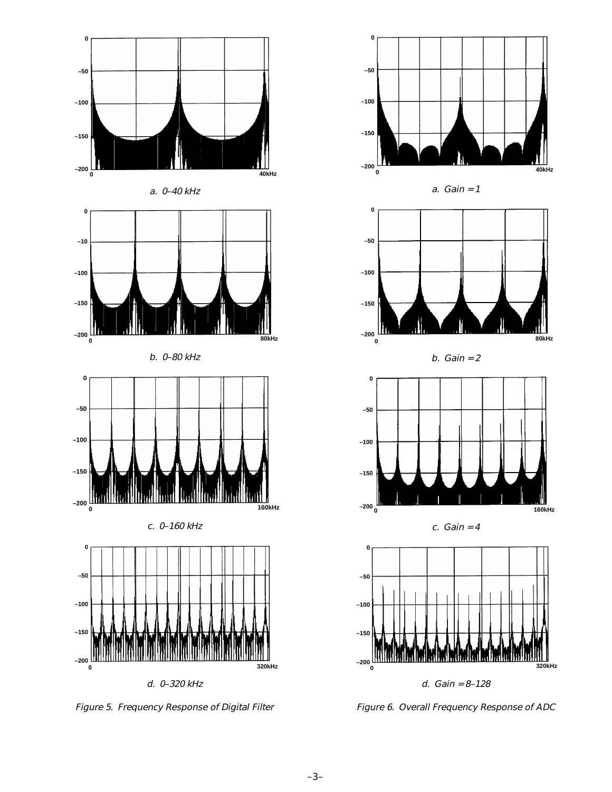

Figure 5. Frequency Response of Digital Filter



Figure 6. Overall Frequency Response of ADC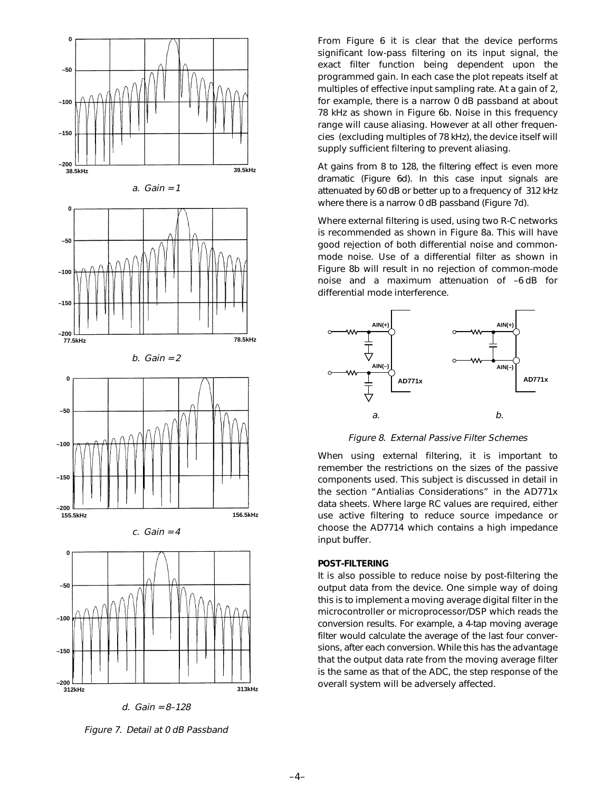

Figure 7. Detail at 0 dB Passband

From Figure 6 it is clear that the device performs significant low-pass filtering on its input signal, the exact filter function being dependent upon the programmed gain. In each case the plot repeats itself at multiples of effective input sampling rate. At a gain of 2, for example, there is a narrow 0 dB passband at about 78 kHz as shown in Figure 6b. Noise in this frequency range will cause aliasing. However at all other frequencies (excluding multiples of 78 kHz), the device itself will supply sufficient filtering to prevent aliasing.

At gains from 8 to 128, the filtering effect is even more dramatic (Figure 6d). In this case input signals are attenuated by 60 dB or better up to a frequency of 312 kHz where there is a narrow 0 dB passband (Figure 7d).

Where external filtering is used, using two R-C networks is recommended as shown in Figure 8a. This will have good rejection of both differential noise and commonmode noise. Use of a differential filter as shown in Figure 8b will result in no rejection of common-mode noise and a maximum attenuation of –6 dB for differential mode interference.



Figure 8. External Passive Filter Schemes

When using external filtering, it is important to remember the restrictions on the sizes of the passive components used. This subject is discussed in detail in the section "Antialias Considerations" in the AD771x data sheets. Where large RC values are required, either use active filtering to reduce source impedance or choose the AD7714 which contains a high impedance input buffer.

### **POST-FILTERING**

It is also possible to reduce noise by post-filtering the output data from the device. One simple way of doing this is to implement a moving average digital filter in the microcontroller or microprocessor/DSP which reads the conversion results. For example, a 4-tap moving average filter would calculate the average of the last four conversions, after each conversion. While this has the advantage that the output data rate from the moving average filter is the same as that of the ADC, the step response of the overall system will be adversely affected.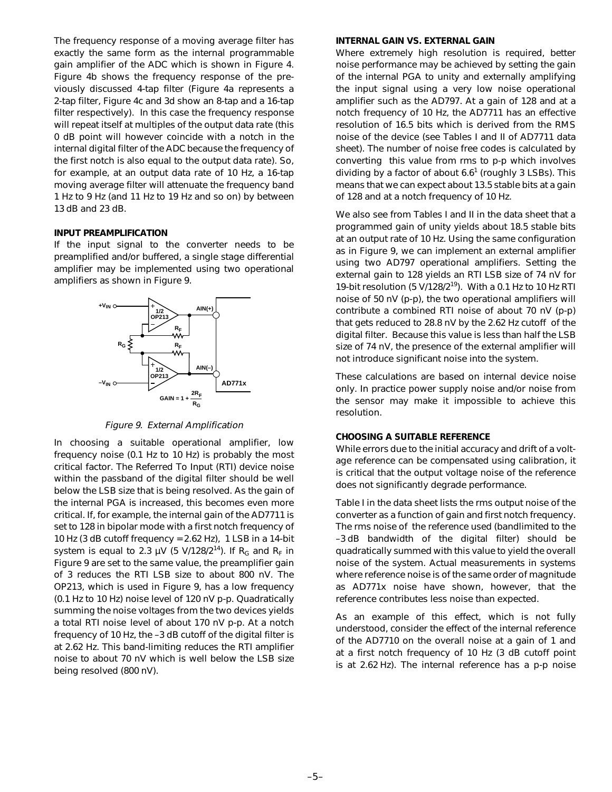The frequency response of a moving average filter has exactly the same form as the internal programmable gain amplifier of the ADC which is shown in Figure 4. Figure 4b shows the frequency response of the previously discussed 4-tap filter (Figure 4a represents a 2-tap filter, Figure 4c and 3d show an 8-tap and a 16-tap filter respectively). In this case the frequency response will repeat itself at multiples of the output data rate (this 0 dB point will however coincide with a notch in the internal digital filter of the ADC because the frequency of the first notch is also equal to the output data rate). So, for example, at an output data rate of 10 Hz, a 16-tap moving average filter will attenuate the frequency band 1 Hz to 9 Hz (and 11 Hz to 19 Hz and so on) by between 13 dB and 23 dB.

### **INPUT PREAMPLIFICATION**

If the input signal to the converter needs to be preamplified and/or buffered, a single stage differential amplifier may be implemented using two operational amplifiers as shown in Figure 9.



Figure 9. External Amplification

In choosing a suitable operational amplifier, low frequency noise (0.1 Hz to 10 Hz) is probably the most critical factor. The Referred To Input (RTI) device noise within the passband of the digital filter should be well below the LSB size that is being resolved. As the gain of the internal PGA is increased, this becomes even more critical. If, for example, the internal gain of the AD7711 is set to 128 in bipolar mode with a first notch frequency of 10 Hz (3 dB cutoff frequency = 2.62 Hz), 1 LSB in a 14-bit system is equal to 2.3  $\mu$ V (5 V/128/2<sup>14</sup>). If R<sub>G</sub> and R<sub>F</sub> in Figure 9 are set to the same value, the preamplifier gain of 3 reduces the RTI LSB size to about 800 nV. The OP213, which is used in Figure 9, has a low frequency (0.1 Hz to 10 Hz) noise level of 120 nV p-p. Quadratically summing the noise voltages from the two devices yields a total RTI noise level of about 170 nV p-p. At a notch frequency of 10 Hz, the –3 dB cutoff of the digital filter is at 2.62 Hz. This band-limiting reduces the RTI amplifier noise to about 70 nV which is well below the LSB size being resolved (800 nV).

#### **INTERNAL GAIN VS. EXTERNAL GAIN**

Where extremely high resolution is required, better noise performance may be achieved by setting the gain of the internal PGA to unity and externally amplifying the input signal using a very low noise operational amplifier such as the AD797. At a gain of 128 and at a notch frequency of 10 Hz, the AD7711 has an effective resolution of 16.5 bits which is derived from the RMS noise of the device (see Tables I and II of AD7711 data sheet). The number of noise free codes is calculated by converting this value from rms to p-p which involves dividing by a factor of about 6.6<sup>1</sup> (roughly 3 LSBs). This means that we can expect about 13.5 stable bits at a gain of 128 and at a notch frequency of 10 Hz.

We also see from Tables I and II in the data sheet that a programmed gain of unity yields about 18.5 stable bits at an output rate of 10 Hz. Using the same configuration as in Figure 9, we can implement an external amplifier using two AD797 operational amplifiers. Setting the external gain to 128 yields an RTI LSB size of 74 nV for 19-bit resolution (5 V/128/2<sup>19</sup>). With a 0.1 Hz to 10 Hz RTI noise of 50 nV (p-p), the two operational amplifiers will contribute a combined RTI noise of about 70 nV (p-p) that gets reduced to 28.8 nV by the 2.62 Hz cutoff of the digital filter. Because this value is less than half the LSB size of 74 nV, the presence of the external amplifier will not introduce significant noise into the system.

These calculations are based on internal device noise only. In practice power supply noise and/or noise from the sensor may make it impossible to achieve this resolution.

### **CHOOSING A SUITABLE REFERENCE**

While errors due to the initial accuracy and drift of a voltage reference can be compensated using calibration, it is critical that the output voltage noise of the reference does not significantly degrade performance.

Table I in the data sheet lists the rms output noise of the converter as a function of gain and first notch frequency. The rms noise of the reference used (bandlimited to the –3 dB bandwidth of the digital filter) should be quadratically summed with this value to yield the overall noise of the system. Actual measurements in systems where reference noise is of the same order of magnitude as AD771x noise have shown, however, that the reference contributes less noise than expected.

As an example of this effect, which is not fully understood, consider the effect of the internal reference of the AD7710 on the overall noise at a gain of 1 and at a first notch frequency of 10 Hz (3 dB cutoff point is at 2.62 Hz). The internal reference has a p-p noise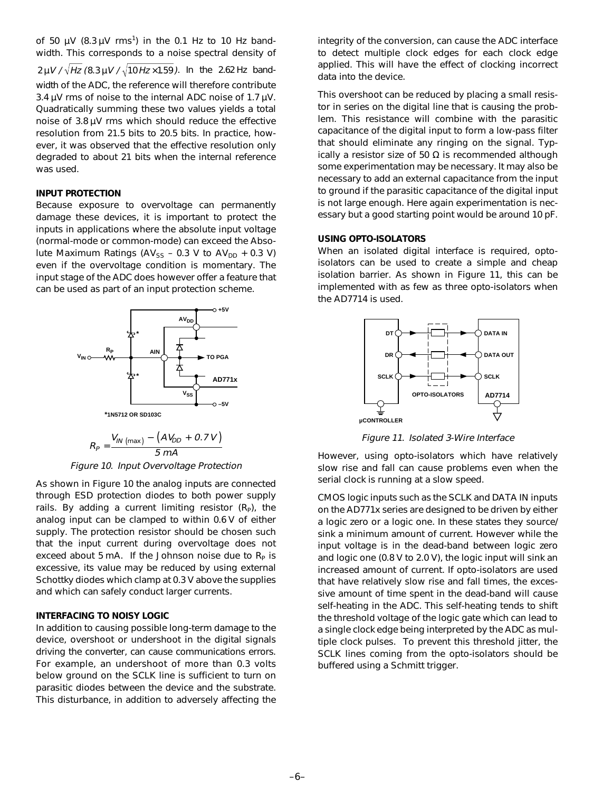of 50  $\mu$ V (8.3  $\mu$ V rms<sup>1</sup>) in the 0.1 Hz to 10 Hz bandwidth. This corresponds to a noise spectral density of

 $2 \mu V / \sqrt{Hz}$  (8.3  $\mu V / \sqrt{10 Hz \times 1.59}$ ). In the 2.62 Hz bandwidth of the ADC, the reference will therefore contribute 3.4  $\mu$ V rms of noise to the internal ADC noise of 1.7  $\mu$ V. Quadratically summing these two values yields a total noise of 3.8 µV rms which should reduce the effective resolution from 21.5 bits to 20.5 bits. In practice, however, it was observed that the effective resolution only degraded to about 21 bits when the internal reference was used.

### **INPUT PROTECTION**

Because exposure to overvoltage can permanently damage these devices, it is important to protect the inputs in applications where the absolute input voltage (normal-mode or common-mode) can exceed the Absolute Maximum Ratings ( $AV_{SS}$  – 0.3 V to  $AV_{DD}$  + 0.3 V) even if the overvoltage condition is momentary. The input stage of the ADC does however offer a feature that can be used as part of an input protection scheme.



$$
R_p = \frac{V_{IN \, (\text{max})} - (AV_{DD} + 0.7 \, V)}{5 \, mA}
$$

Figure 10. Input Overvoltage Protection

As shown in Figure 10 the analog inputs are connected through ESD protection diodes to both power supply rails. By adding a current limiting resistor  $(R<sub>p</sub>)$ , the analog input can be clamped to within 0.6 V of either supply. The protection resistor should be chosen such that the input current during overvoltage does not exceed about 5 mA. If the Johnson noise due to  $R<sub>p</sub>$  is excessive, its value may be reduced by using external Schottky diodes which clamp at 0.3 V above the supplies and which can safely conduct larger currents.

### **INTERFACING TO NOISY LOGIC**

In addition to causing possible long-term damage to the device, overshoot or undershoot in the digital signals driving the converter, can cause communications errors. For example, an undershoot of more than 0.3 volts below ground on the SCLK line is sufficient to turn on parasitic diodes between the device and the substrate. This disturbance, in addition to adversely affecting the

integrity of the conversion, can cause the ADC interface to detect multiple clock edges for each clock edge applied. This will have the effect of clocking incorrect data into the device.

This overshoot can be reduced by placing a small resistor in series on the digital line that is causing the problem. This resistance will combine with the parasitic capacitance of the digital input to form a low-pass filter that should eliminate any ringing on the signal. Typically a resistor size of 50  $\Omega$  is recommended although some experimentation may be necessary. It may also be necessary to add an external capacitance from the input to ground if the parasitic capacitance of the digital input is not large enough. Here again experimentation is necessary but a good starting point would be around 10 pF.

### **USING OPTO-ISOLATORS**

When an isolated digital interface is required, optoisolators can be used to create a simple and cheap isolation barrier. As shown in Figure 11, this can be implemented with as few as three opto-isolators when the AD7714 is used.



Figure 11. Isolated 3-Wire Interface

However, using opto-isolators which have relatively slow rise and fall can cause problems even when the serial clock is running at a slow speed.

CMOS logic inputs such as the SCLK and DATA IN inputs on the AD771x series are designed to be driven by either a logic zero or a logic one. In these states they source/ sink a minimum amount of current. However while the input voltage is in the dead-band between logic zero and logic one (0.8 V to 2.0 V), the logic input will sink an increased amount of current. If opto-isolators are used that have relatively slow rise and fall times, the excessive amount of time spent in the dead-band will cause self-heating in the ADC. This self-heating tends to shift the threshold voltage of the logic gate which can lead to a single clock edge being interpreted by the ADC as multiple clock pulses. To prevent this threshold jitter, the SCLK lines coming from the opto-isolators should be buffered using a Schmitt trigger.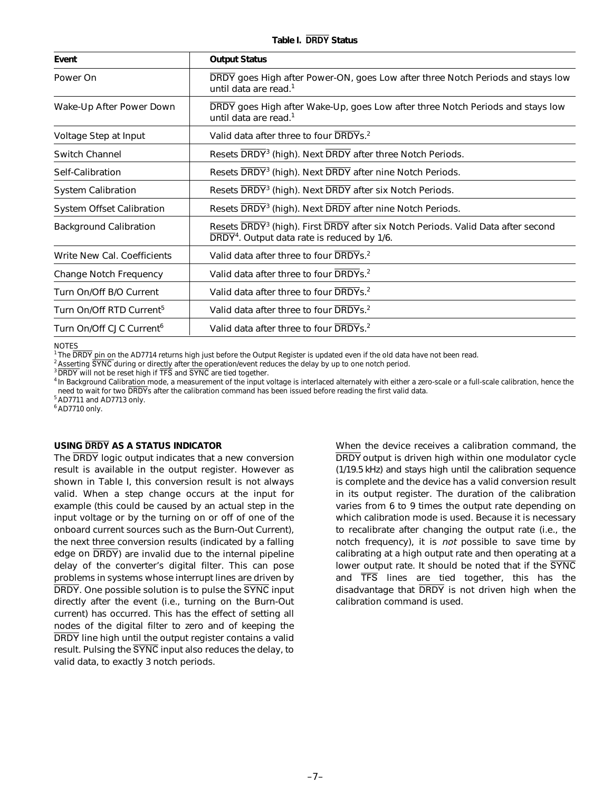| Event                                | <b>Output Status</b>                                                                                                                                    |  |
|--------------------------------------|---------------------------------------------------------------------------------------------------------------------------------------------------------|--|
| Power On                             | DRDY goes High after Power-ON, goes Low after three Notch Periods and stays low<br>until data are read. <sup>1</sup>                                    |  |
| Wake-Up After Power Down             | DRDY goes High after Wake-Up, goes Low after three Notch Periods and stays low<br>until data are read. <sup>1</sup>                                     |  |
| Voltage Step at Input                | Valid data after three to four DRDYs. <sup>2</sup>                                                                                                      |  |
| <b>Switch Channel</b>                | Resets DRDY <sup>3</sup> (high). Next DRDY after three Notch Periods.                                                                                   |  |
| Self-Calibration                     | Resets DRDY <sup>3</sup> (high). Next DRDY after nine Notch Periods.                                                                                    |  |
| <b>System Calibration</b>            | Resets DRDY <sup>3</sup> (high). Next DRDY after six Notch Periods.                                                                                     |  |
| <b>System Offset Calibration</b>     | Resets DRDY <sup>3</sup> (high). Next DRDY after nine Notch Periods.                                                                                    |  |
| <b>Background Calibration</b>        | Resets DRDY <sup>3</sup> (high). First DRDY after six Notch Periods. Valid Data after second<br>DRDY <sup>4</sup> . Output data rate is reduced by 1/6. |  |
| Write New Cal. Coefficients          | Valid data after three to four DRDYs. <sup>2</sup>                                                                                                      |  |
| Change Notch Frequency               | Valid data after three to four DRDYs. <sup>2</sup>                                                                                                      |  |
| Turn On/Off B/O Current              | Valid data after three to four DRDYs. <sup>2</sup>                                                                                                      |  |
| Turn On/Off RTD Current <sup>5</sup> | Valid data after three to four DRDYs. <sup>2</sup>                                                                                                      |  |
| Turn On/Off CJC Current <sup>6</sup> | Valid data after three to four DRDYs. <sup>2</sup>                                                                                                      |  |

**NOTES** 

<sup>1</sup> The DRDY pin on the AD7714 returns high just before the Output Register is updated even if the old data have not been read.

<sup>2</sup> Asserting SYNC during or directly after the operation/event reduces the delay by up to one notch period.

 $3\overline{DRDY}$  will not be reset high if  $\overline{\text{TFS}}$  and  $\overline{\text{SYNC}}$  are tied together.

<sup>4</sup> In Background Calibration mode, a measurement of the input voltage is interlaced alternately with either a zero-scale or a full-scale calibration, hence the need to wait for two DRDYs after the calibration command has been issued before reading the first valid data.

<sup>5</sup> AD7711 and AD7713 only.

<sup>6</sup> AD7710 only.

### **USING DRDY AS A STATUS INDICATOR**

The DRDY logic output indicates that a new conversion result is available in the output register. However as shown in Table I, this conversion result is not always valid. When a step change occurs at the input for example (this could be caused by an actual step in the input voltage or by the turning on or off of one of the onboard current sources such as the Burn-Out Current), the next three conversion results (indicated by a falling edge on DRDY) are invalid due to the internal pipeline delay of the converter's digital filter. This can pose problems in systems whose interrupt lines are driven by DRDY. One possible solution is to pulse the SYNC input directly after the event (i.e., turning on the Burn-Out current) has occurred. This has the effect of setting all nodes of the digital filter to zero and of keeping the DRDY line high until the output register contains a valid result. Pulsing the SYNC input also reduces the delay, to valid data, to exactly 3 notch periods.

When the device receives a calibration command, the DRDY output is driven high within one modulator cycle (1/19.5 kHz) and stays high until the calibration sequence is complete and the device has a valid conversion result in its output register. The duration of the calibration varies from 6 to 9 times the output rate depending on which calibration mode is used. Because it is necessary to recalibrate after changing the output rate (i.e., the notch frequency), it is not possible to save time by calibrating at a high output rate and then operating at a lower output rate. It should be noted that if the SYNC and TFS lines are tied together, this has the disadvantage that DRDY is not driven high when the calibration command is used.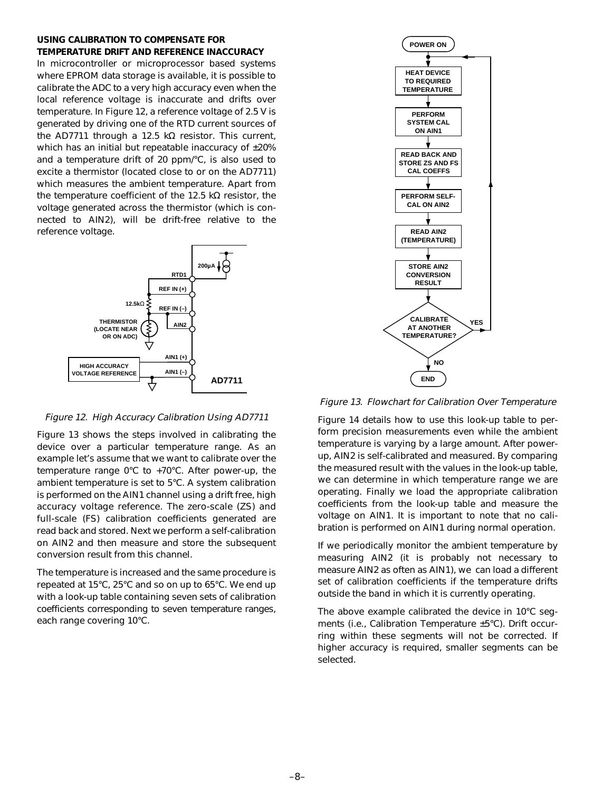### **USING CALIBRATION TO COMPENSATE FOR TEMPERATURE DRIFT AND REFERENCE INACCURACY**

In microcontroller or microprocessor based systems where EPROM data storage is available, it is possible to calibrate the ADC to a very high accuracy even when the local reference voltage is inaccurate and drifts over temperature. In Figure 12, a reference voltage of 2.5 V is generated by driving one of the RTD current sources of the AD7711 through a 12.5 kΩ resistor. This current, which has an initial but repeatable inaccuracy of ±20% and a temperature drift of 20 ppm/°C, is also used to excite a thermistor (located close to or on the AD7711) which measures the ambient temperature. Apart from the temperature coefficient of the 12.5 kΩ resistor, the voltage generated across the thermistor (which is connected to AIN2), will be drift-free relative to the reference voltage.



### Figure 12. High Accuracy Calibration Using AD7711

Figure 13 shows the steps involved in calibrating the device over a particular temperature range. As an example let's assume that we want to calibrate over the temperature range 0°C to +70°C. After power-up, the ambient temperature is set to 5°C. A system calibration is performed on the AIN1 channel using a drift free, high accuracy voltage reference. The zero-scale (ZS) and full-scale (FS) calibration coefficients generated are read back and stored. Next we perform a self-calibration on AIN2 and then measure and store the subsequent conversion result from this channel.

The temperature is increased and the same procedure is repeated at 15°C, 25°C and so on up to 65°C. We end up with a look-up table containing seven sets of calibration coefficients corresponding to seven temperature ranges, each range covering 10°C.



Figure 13. Flowchart for Calibration Over Temperature

Figure 14 details how to use this look-up table to perform precision measurements even while the ambient temperature is varying by a large amount. After powerup, AIN2 is self-calibrated and measured. By comparing the measured result with the values in the look-up table, we can determine in which temperature range we are operating. Finally we load the appropriate calibration coefficients from the look-up table and measure the voltage on AIN1. It is important to note that no calibration is performed on AIN1 during normal operation.

If we periodically monitor the ambient temperature by measuring AIN2 (it is probably not necessary to measure AIN2 as often as AIN1), we can load a different set of calibration coefficients if the temperature drifts outside the band in which it is currently operating.

The above example calibrated the device in 10°C segments (i.e., Calibration Temperature ±5°C). Drift occurring within these segments will not be corrected. If higher accuracy is required, smaller segments can be selected.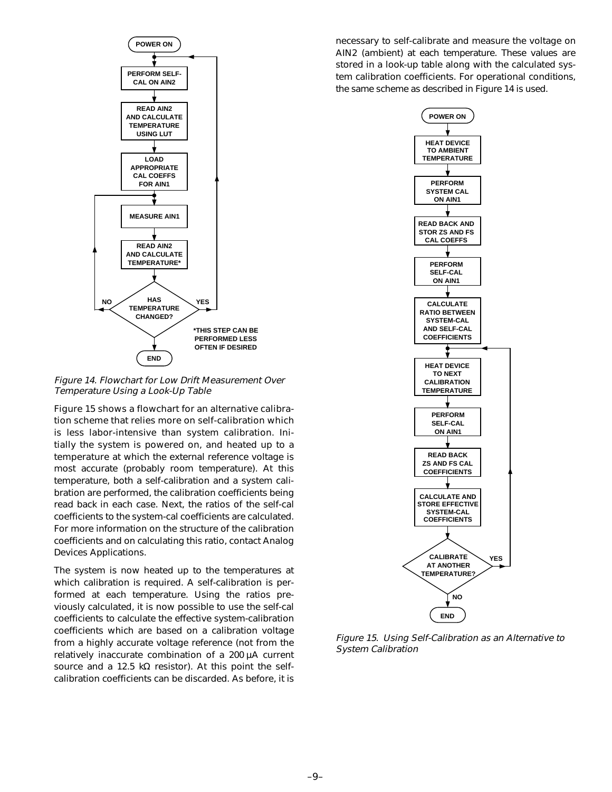

Figure 14. Flowchart for Low Drift Measurement Over Temperature Using a Look-Up Table

Figure 15 shows a flowchart for an alternative calibration scheme that relies more on self-calibration which is less labor-intensive than system calibration. Initially the system is powered on, and heated up to a temperature at which the external reference voltage is most accurate (probably room temperature). At this temperature, both a self-calibration and a system calibration are performed, the calibration coefficients being read back in each case. Next, the ratios of the self-cal coefficients to the system-cal coefficients are calculated. For more information on the structure of the calibration coefficients and on calculating this ratio, contact Analog Devices Applications.

The system is now heated up to the temperatures at which calibration is required. A self-calibration is performed at each temperature. Using the ratios previously calculated, it is now possible to use the self-cal coefficients to calculate the effective system-calibration coefficients which are based on a calibration voltage from a highly accurate voltage reference (not from the relatively inaccurate combination of a 200 µA current source and a 12.5 kΩ resistor). At this point the selfcalibration coefficients can be discarded. As before, it is

necessary to self-calibrate and measure the voltage on AIN2 (ambient) at each temperature. These values are stored in a look-up table along with the calculated system calibration coefficients. For operational conditions, the same scheme as described in Figure 14 is used.



Figure 15. Using Self-Calibration as an Alternative to System Calibration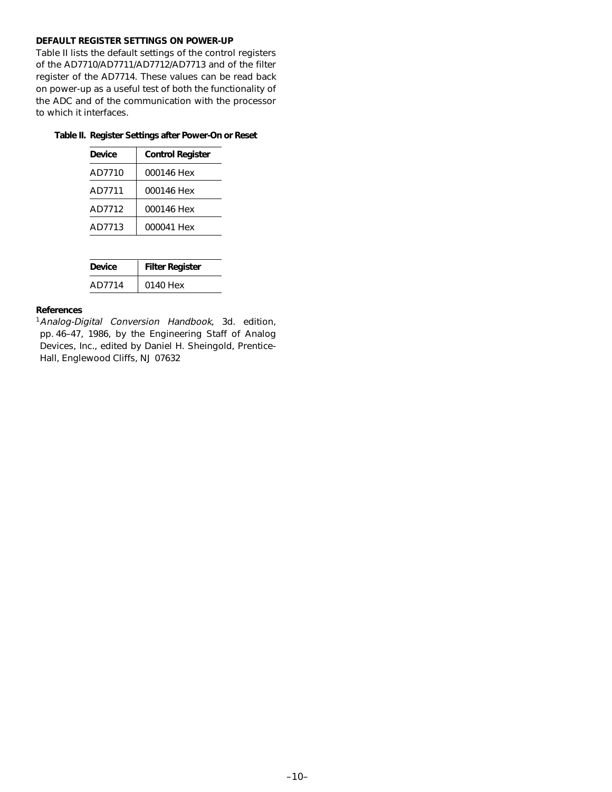## **DEFAULT REGISTER SETTINGS ON POWER-UP**

Table II lists the default settings of the control registers of the AD7710/AD7711/AD7712/AD7713 and of the filter register of the AD7714. These values can be read back on power-up as a useful test of both the functionality of the ADC and of the communication with the processor to which it interfaces.

## **Table II. Register Settings after Power-On or Reset**

| Device | <b>Control Register</b> |
|--------|-------------------------|
| AD7710 | 000146 Hex              |
| AD7711 | 000146 Hex              |
| AD7712 | 000146 Hex              |
| AD7713 | 000041 Hex              |

| Device | <b>Filter Register</b> |
|--------|------------------------|
| AD7714 | 0140 Hex               |

# **References**

<sup>1</sup> Analog-Digital Conversion Handbook, 3d. edition, pp. 46–47, 1986, by the Engineering Staff of Analog Devices, Inc., edited by Daniel H. Sheingold, Prentice-Hall, Englewood Cliffs, NJ 07632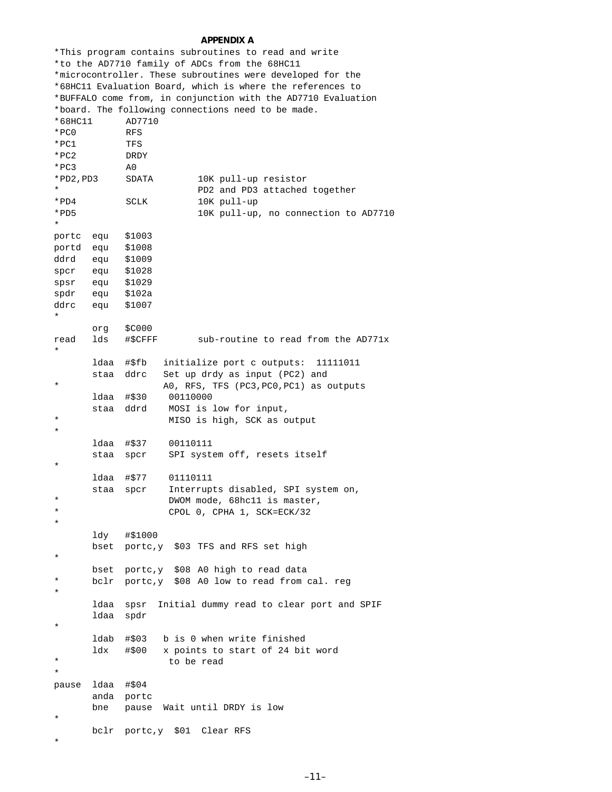### **APPENDIX A**

|                  |                                                            |               | *This program contains subroutines to read and write          |  |  |
|------------------|------------------------------------------------------------|---------------|---------------------------------------------------------------|--|--|
|                  |                                                            |               | *to the AD7710 family of ADCs from the 68HC11                 |  |  |
|                  |                                                            |               | *microcontroller. These subroutines were developed for the    |  |  |
|                  | *68HCll Evaluation Board, which is where the references to |               |                                                               |  |  |
|                  |                                                            |               | *BUFFALO come from, in conjunction with the AD7710 Evaluation |  |  |
|                  |                                                            |               | *board. The following connections need to be made.            |  |  |
| *68HC11          |                                                            | AD7710        |                                                               |  |  |
| $*PC0$           |                                                            | <b>RFS</b>    |                                                               |  |  |
| *PC1             |                                                            | TFS           |                                                               |  |  |
| * PC2            |                                                            | DRDY          |                                                               |  |  |
| $*PC3$           |                                                            | A0            |                                                               |  |  |
| *PD2,PD3         |                                                            | SDATA         | 10K pull-up resistor                                          |  |  |
| *                |                                                            |               |                                                               |  |  |
|                  |                                                            |               | PD2 and PD3 attached together                                 |  |  |
| * PD4            |                                                            | SCLK          | 10K pull-up                                                   |  |  |
| *PD5<br>$^\star$ |                                                            |               | 10K pull-up, no connection to AD7710                          |  |  |
|                  |                                                            |               |                                                               |  |  |
| portc            | equ                                                        | \$1003        |                                                               |  |  |
| portd            | equ                                                        | \$1008        |                                                               |  |  |
| ddrd             | equ                                                        | \$1009        |                                                               |  |  |
| spcr             | equ                                                        | \$1028        |                                                               |  |  |
| spsr             | equ                                                        | \$1029        |                                                               |  |  |
| spdr             | equ                                                        | \$102a        |                                                               |  |  |
| ddrc             | equ                                                        | \$1007        |                                                               |  |  |
| $^\star$         |                                                            |               |                                                               |  |  |
|                  | org                                                        | \$C000        |                                                               |  |  |
| read             | lds                                                        | #\$CFFF       | sub-routine to read from the AD771x                           |  |  |
| $\star$          |                                                            |               |                                                               |  |  |
|                  | ldaa                                                       | #\$fb         | initialize port c outputs:<br>11111011                        |  |  |
|                  | staa                                                       | ddrc          | Set up drdy as input (PC2) and                                |  |  |
| *                |                                                            |               | AO, RFS, TFS (PC3, PC0, PC1) as outputs                       |  |  |
|                  | ldaa                                                       | #\$30         | 00110000                                                      |  |  |
|                  | staa                                                       | ddrd          | MOSI is low for input,                                        |  |  |
| *                |                                                            |               | MISO is high, SCK as output                                   |  |  |
| $^\star$         |                                                            |               |                                                               |  |  |
|                  | ldaa                                                       | #\$37         | 00110111                                                      |  |  |
|                  | staa                                                       | spcr          | SPI system off, resets itself                                 |  |  |
| $^\star$         |                                                            |               |                                                               |  |  |
|                  | ldaa                                                       | #\$77         | 01110111                                                      |  |  |
|                  | staa                                                       | spcr          | Interrupts disabled, SPI system on,                           |  |  |
| $^\star$         |                                                            |               | DWOM mode, 68hc11 is master,                                  |  |  |
| $^\star$         |                                                            |               | CPOL 0, CPHA 1, SCK=ECK/32                                    |  |  |
| *                |                                                            |               |                                                               |  |  |
|                  | ldy                                                        | #\$1000       |                                                               |  |  |
|                  |                                                            | bset portc, y | \$03 TFS and RFS set high                                     |  |  |
| $^\star$         |                                                            |               |                                                               |  |  |
|                  | bset                                                       | portc,y       | \$08 A0 high to read data                                     |  |  |
| *                |                                                            |               |                                                               |  |  |
| $^\star$         | bclr                                                       |               | portc, y \$08 A0 low to read from cal. reg                    |  |  |
|                  |                                                            |               |                                                               |  |  |
|                  | ldaa                                                       | spsr          | Initial dummy read to clear port and SPIF                     |  |  |
| $^\star$         | ldaa                                                       | spdr          |                                                               |  |  |
|                  |                                                            |               |                                                               |  |  |
|                  | ldab                                                       | #\$03         | b is 0 when write finished                                    |  |  |
|                  | ldx                                                        | #\$00         | x points to start of 24 bit word                              |  |  |
| *                |                                                            |               | to be read                                                    |  |  |
| $^\star$         |                                                            |               |                                                               |  |  |
| pause            | ldaa                                                       | #\$04         |                                                               |  |  |
|                  | anda portc                                                 |               |                                                               |  |  |
|                  | bne                                                        | pause         | Wait until DRDY is low                                        |  |  |
| $^\star$         |                                                            |               |                                                               |  |  |
|                  | bclr                                                       | portc,y \$01  | Clear RFS                                                     |  |  |
| $^\star$         |                                                            |               |                                                               |  |  |